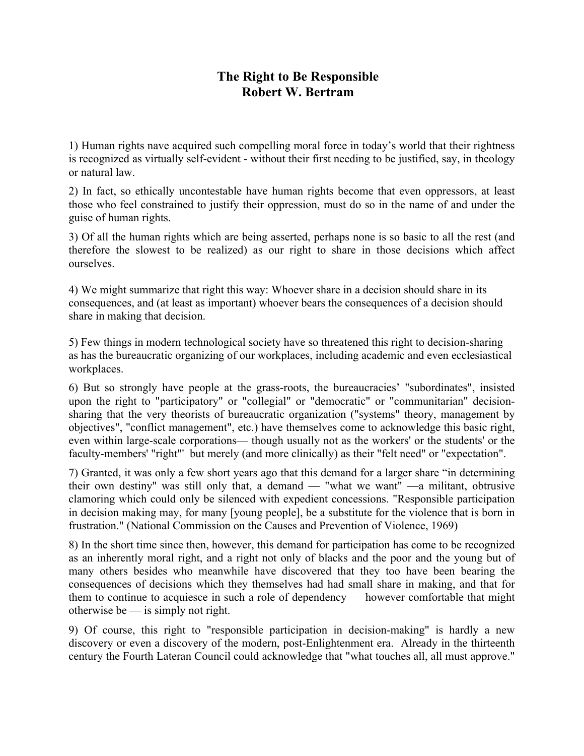## **The Right to Be Responsible Robert W. Bertram**

1) Human rights nave acquired such compelling moral force in today's world that their rightness is recognized as virtually self-evident - without their first needing to be justified, say, in theology or natural law.

2) In fact, so ethically uncontestable have human rights become that even oppressors, at least those who feel constrained to justify their oppression, must do so in the name of and under the guise of human rights.

3) Of all the human rights which are being asserted, perhaps none is so basic to all the rest (and therefore the slowest to be realized) as our right to share in those decisions which affect ourselves.

4) We might summarize that right this way: Whoever share in a decision should share in its consequences, and (at least as important) whoever bears the consequences of a decision should share in making that decision.

5) Few things in modern technological society have so threatened this right to decision-sharing as has the bureaucratic organizing of our workplaces, including academic and even ecclesiastical workplaces.

6) But so strongly have people at the grass-roots, the bureaucracies' "subordinates", insisted upon the right to "participatory" or "collegial" or "democratic" or "communitarian" decisionsharing that the very theorists of bureaucratic organization ("systems" theory, management by objectives", "conflict management", etc.) have themselves come to acknowledge this basic right, even within large-scale corporations— though usually not as the workers' or the students' or the faculty-members' "right"' but merely (and more clinically) as their "felt need" or "expectation".

7) Granted, it was only a few short years ago that this demand for a larger share "in determining their own destiny'' was still only that, a demand — "what we want" —a militant, obtrusive clamoring which could only be silenced with expedient concessions. "Responsible participation in decision making may, for many [young people], be a substitute for the violence that is born in frustration." (National Commission on the Causes and Prevention of Violence, 1969)

8) In the short time since then, however, this demand for participation has come to be recognized as an inherently moral right, and a right not only of blacks and the poor and the young but of many others besides who meanwhile have discovered that they too have been bearing the consequences of decisions which they themselves had had small share in making, and that for them to continue to acquiesce in such a role of dependency — however comfortable that might otherwise be — is simply not right.

9) Of course, this right to "responsible participation in decision-making" is hardly a new discovery or even a discovery of the modern, post-Enlightenment era. Already in the thirteenth century the Fourth Lateran Council could acknowledge that "what touches all, all must approve."